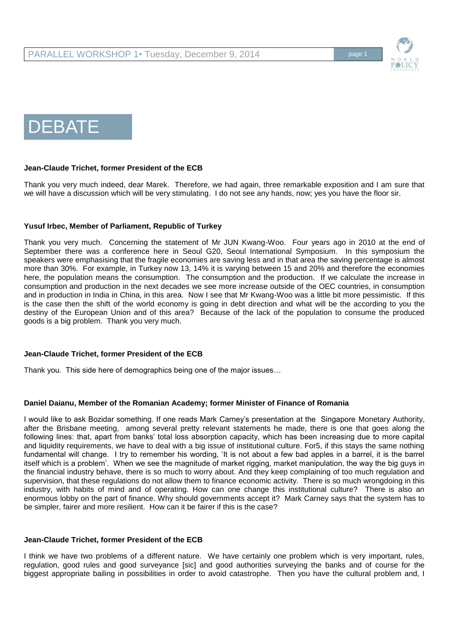

# DEBATE

## **Jean-Claude Trichet, former President of the ECB**

Thank you very much indeed, dear Marek. Therefore, we had again, three remarkable exposition and I am sure that we will have a discussion which will be very stimulating. I do not see any hands, now; yes you have the floor sir.

## **Yusuf Irbec, Member of Parliament, Republic of Turkey**

Thank you very much. Concerning the statement of Mr JUN Kwang-Woo. Four years ago in 2010 at the end of September there was a conference here in Seoul G20, Seoul International Symposium. In this symposium the speakers were emphasising that the fragile economies are saving less and in that area the saving percentage is almost more than 30%. For example, in Turkey now 13, 14% it is varying between 15 and 20% and therefore the economies here, the population means the consumption. The consumption and the production. If we calculate the increase in consumption and production in the next decades we see more increase outside of the OEC countries, in consumption and in production in India in China, in this area. Now I see that Mr Kwang-Woo was a little bit more pessimistic. If this is the case then the shift of the world economy is going in debt direction and what will be the according to you the destiny of the European Union and of this area? Because of the lack of the population to consume the produced goods is a big problem. Thank you very much.

## **Jean-Claude Trichet, former President of the ECB**

Thank you. This side here of demographics being one of the major issues…

## **Daniel Daianu, Member of the Romanian Academy; former Minister of Finance of Romania**

I would like to ask Bozidar something. If one reads Mark Carney's presentation at the Singapore Monetary Authority, after the Brisbane meeting, among several pretty relevant statements he made, there is one that goes along the following lines: that, apart from banks' total loss absorption capacity, which has been increasing due to more capital and liquidity requirements, we have to deal with a big issue of institutional culture. For5, if this stays the same nothing fundamental will change. I try to remember his wording, 'It is not about a few bad apples in a barrel, it is the barrel itself which is a problem'. When we see the magnitude of market rigging, market manipulation, the way the big guys in the financial industry behave, there is so much to worry about. And they keep complaining of too much regulation and supervision, that these regulations do not allow them to finance economic activity. There is so much wrongdoing in this industry, with habits of mind and of operating. How can one change this institutional culture? There is also an enormous lobby on the part of finance. Why should governments accept it? Mark Carney says that the system has to be simpler, fairer and more resilient. How can it be fairer if this is the case?

## **Jean-Claude Trichet, former President of the ECB**

I think we have two problems of a different nature. We have certainly one problem which is very important, rules, regulation, good rules and good surveyance [sic] and good authorities surveying the banks and of course for the biggest appropriate bailing in possibilities in order to avoid catastrophe. Then you have the cultural problem and, I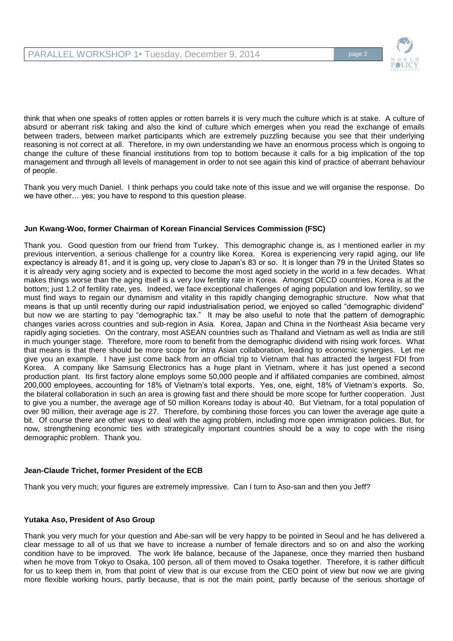

think that when one speaks of rotten apples or rotten barrels it is very much the culture which is at stake. A culture of absurd or aberrant risk taking and also the kind of culture which emerges when you read the exchange of emails between traders, between market participants which are extremely puzzling because you see that their underlying reasoning is not correct at all. Therefore, in my own understanding we have an enormous process which is ongoing to change the culture of these financial institutions from top to bottom because it calls for a big implication of the top management and through all levels of management in order to not see again this kind of practice of aberrant behaviour of people.

Thank you very much Daniel. I think perhaps you could take note of this issue and we will organise the response. Do we have other… yes; you have to respond to this question please.

# **Jun Kwang-Woo, former Chairman of Korean Financial Services Commission (FSC)**

Thank you. Good question from our friend from Turkey. This demographic change is, as I mentioned earlier in my previous intervention, a serious challenge for a country like Korea. Korea is experiencing very rapid aging, our life expectancy is already 81, and it is going up, very close to Japan's 83 or so. It is longer than 79 in the United States so it is already very aging society and is expected to become the most aged society in the world in a few decades. What makes things worse than the aging itself is a very low fertility rate in Korea. Amongst OECD countries, Korea is at the bottom; just 1.2 of fertility rate, yes. Indeed, we face exceptional challenges of aging population and low fertility, so we must find ways to regain our dynamism and vitality in this rapidly changing demographic structure. Now what that means is that up until recently during our rapid industrialisation period, we enjoyed so called "demographic dividend" but now we are starting to pay "demographic tax." It may be also useful to note that the pattern of demographic changes varies across countries and sub-region in Asia. Korea, Japan and China in the Northeast Asia became very rapidly aging societies. On the contrary, most ASEAN countries such as Thailand and Vietnam as well as India are still in much younger stage. Therefore, more room to benefit from the demographic dividend with rising work forces. What that means is that there should be more scope for intra Asian collaboration, leading to economic synergies. Let me give you an example. I have just come back from an official trip to Vietnam that has attracted the largest FDI from Korea. A company like Samsung Electronics has a huge plant in Vietnam, where it has just opened a second production plant. Its first factory alone employs some 50,000 people and if affiliated companies are combined, almost 200,000 employees, accounting for 18% of Vietnam's total exports. Yes, one, eight, 18% of Vietnam's exports. So, the bilateral collaboration in such an area is growing fast and there should be more scope for further cooperation. Just to give you a number, the average age of 50 million Koreans today is about 40. But Vietnam, for a total population of over 90 million, their average age is 27. Therefore, by combining those forces you can lower the average age quite a bit. Of course there are other ways to deal with the aging problem, including more open immigration policies. But, for now, strengthening economic ties with strategically important countries should be a way to cope with the rising demographic problem. Thank you.

# **Jean-Claude Trichet, former President of the ECB**

Thank you very much; your figures are extremely impressive. Can I turn to Aso-san and then you Jeff?

# **Yutaka Aso, President of Aso Group**

Thank you very much for your question and Abe-san will be very happy to be pointed in Seoul and he has delivered a clear message to all of us that we have to increase a number of female directors and so on and also the working condition have to be improved. The work life balance, because of the Japanese, once they married then husband when he move from Tokyo to Osaka, 100 person, all of them moved to Osaka together. Therefore, it is rather difficult for us to keep them in, from that point of view that is our excuse from the CEO point of view but now we are giving more flexible working hours, partly because, that is not the main point, partly because of the serious shortage of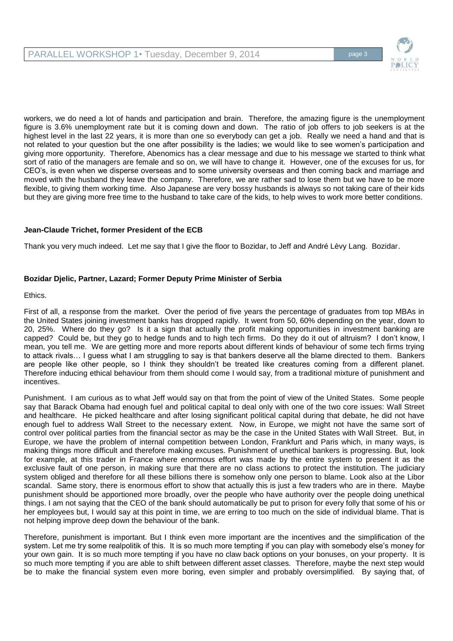

workers, we do need a lot of hands and participation and brain. Therefore, the amazing figure is the unemployment figure is 3.6% unemployment rate but it is coming down and down. The ratio of job offers to job seekers is at the highest level in the last 22 years, it is more than one so everybody can get a job. Really we need a hand and that is not related to your question but the one after possibility is the ladies; we would like to see women's participation and giving more opportunity. Therefore, Abenomics has a clear message and due to his message we started to think what sort of ratio of the managers are female and so on, we will have to change it. However, one of the excuses for us, for CEO's, is even when we disperse overseas and to some university overseas and then coming back and marriage and moved with the husband they leave the company. Therefore, we are rather sad to lose them but we have to be more flexible, to giving them working time. Also Japanese are very bossy husbands is always so not taking care of their kids but they are giving more free time to the husband to take care of the kids, to help wives to work more better conditions.

# **Jean-Claude Trichet, former President of the ECB**

Thank you very much indeed. Let me say that I give the floor to Bozidar, to Jeff and André Lèvy Lang. Bozidar.

# **Bozidar Djelic, Partner, Lazard; Former Deputy Prime Minister of Serbia**

Ethics.

First of all, a response from the market. Over the period of five years the percentage of graduates from top MBAs in the United States joining investment banks has dropped rapidly. It went from 50, 60% depending on the year, down to 20, 25%. Where do they go? Is it a sign that actually the profit making opportunities in investment banking are capped? Could be, but they go to hedge funds and to high tech firms. Do they do it out of altruism? I don't know, I mean, you tell me. We are getting more and more reports about different kinds of behaviour of some tech firms trying to attack rivals… I guess what I am struggling to say is that bankers deserve all the blame directed to them. Bankers are people like other people, so I think they shouldn't be treated like creatures coming from a different planet. Therefore inducing ethical behaviour from them should come I would say, from a traditional mixture of punishment and incentives.

Punishment. I am curious as to what Jeff would say on that from the point of view of the United States. Some people say that Barack Obama had enough fuel and political capital to deal only with one of the two core issues: Wall Street and healthcare. He picked healthcare and after losing significant political capital during that debate, he did not have enough fuel to address Wall Street to the necessary extent. Now, in Europe, we might not have the same sort of control over political parties from the financial sector as may be the case in the United States with Wall Street. But, in Europe, we have the problem of internal competition between London, Frankfurt and Paris which, in many ways, is making things more difficult and therefore making excuses. Punishment of unethical bankers is progressing. But, look for example, at this trader in France where enormous effort was made by the entire system to present it as the exclusive fault of one person, in making sure that there are no class actions to protect the institution. The judiciary system obliged and therefore for all these billions there is somehow only one person to blame. Look also at the Libor scandal. Same story, there is enormous effort to show that actually this is just a few traders who are in there. Maybe punishment should be apportioned more broadly, over the people who have authority over the people doing unethical things. I am not saying that the CEO of the bank should automatically be put to prison for every folly that some of his or her employees but, I would say at this point in time, we are erring to too much on the side of individual blame. That is not helping improve deep down the behaviour of the bank.

Therefore, punishment is important. But I think even more important are the incentives and the simplification of the system. Let me try some realpolitik of this. It is so much more tempting if you can play with somebody else's money for your own gain. It is so much more tempting if you have no claw back options on your bonuses, on your property. It is so much more tempting if you are able to shift between different asset classes. Therefore, maybe the next step would be to make the financial system even more boring, even simpler and probably oversimplified. By saying that, of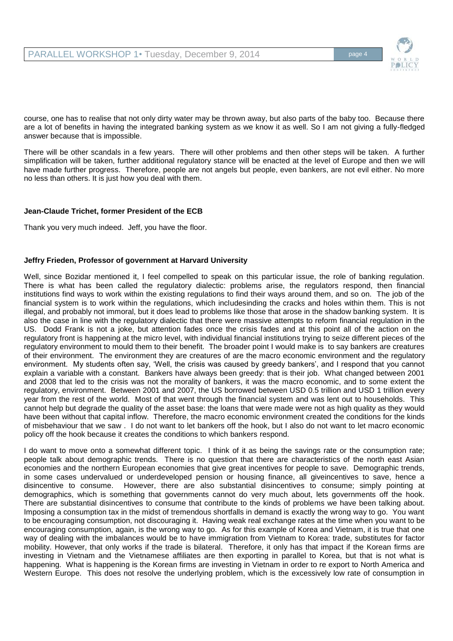

course, one has to realise that not only dirty water may be thrown away, but also parts of the baby too. Because there are a lot of benefits in having the integrated banking system as we know it as well. So I am not giving a fully-fledged answer because that is impossible.

There will be other scandals in a few years. There will other problems and then other steps will be taken. A further simplification will be taken, further additional regulatory stance will be enacted at the level of Europe and then we will have made further progress. Therefore, people are not angels but people, even bankers, are not evil either. No more no less than others. It is just how you deal with them.

# **Jean-Claude Trichet, former President of the ECB**

Thank you very much indeed. Jeff, you have the floor.

## **Jeffry Frieden, Professor of government at Harvard University**

Well, since Bozidar mentioned it, I feel compelled to speak on this particular issue, the role of banking regulation. There is what has been called the regulatory dialectic: problems arise, the regulators respond, then financial institutions find ways to work within the existing regulations to find their ways around them, and so on. The job of the financial system is to work within the regulations, which includesinding the cracks and holes within them. This is not illegal, and probably not immoral, but it does lead to problems like those that arose in the shadow banking system. It is also the case in line with the regulatory dialectic that there were massive attempts to reform financial regulation in the US. Dodd Frank is not a joke, but attention fades once the crisis fades and at this point all of the action on the regulatory front is happening at the micro level, with individual financial institutions trying to seize different pieces of the regulatory environment to mould them to their benefit. The broader point I would make is to say bankers are creatures of their environment. The environment they are creatures of are the macro economic environment and the regulatory environment. My students often say, 'Well, the crisis was caused by greedy bankers', and I respond that you cannot explain a variable with a constant. Bankers have always been greedy: that is their job. What changed between 2001 and 2008 that led to the crisis was not the morality of bankers, it was the macro economic, and to some extent the regulatory, environment. Between 2001 and 2007, the US borrowed between USD 0.5 trillion and USD 1 trillion every year from the rest of the world. Most of that went through the financial system and was lent out to households. This cannot help but degrade the quality of the asset base: the loans that were made were not as high quality as they would have been without that capital inflow. Therefore, the macro economic environment created the conditions for the kinds of misbehaviour that we saw . I do not want to let bankers off the hook, but I also do not want to let macro economic policy off the hook because it creates the conditions to which bankers respond.

I do want to move onto a somewhat different topic. I think of it as being the savings rate or the consumption rate; people talk about demographic trends. There is no question that there are characteristics of the north east Asian economies and the northern European economies that give great incentives for people to save. Demographic trends, in some cases undervalued or underdeveloped pension or housing finance, all giveincentives to save, hence a disincentive to consume. However, there are also substantial disincentives to consume; simply pointing at demographics, which is something that governments cannot do very much about, lets governments off the hook. There are substantial disincentives to consume that contribute to the kinds of problems we have been talking about. Imposing a consumption tax in the midst of tremendous shortfalls in demand is exactly the wrong way to go. You want to be encouraging consumption, not discouraging it. Having weak real exchange rates at the time when you want to be encouraging consumption, again, is the wrong way to go. As for this example of Korea and Vietnam, it is true that one way of dealing with the imbalances would be to have immigration from Vietnam to Korea: trade, substitutes for factor mobility. However, that only works if the trade is bilateral. Therefore, it only has that impact if the Korean firms are investing in Vietnam and the Vietnamese affiliates are then exporting in parallel to Korea, but that is not what is happening. What is happening is the Korean firms are investing in Vietnam in order to re export to North America and Western Europe. This does not resolve the underlying problem, which is the excessively low rate of consumption in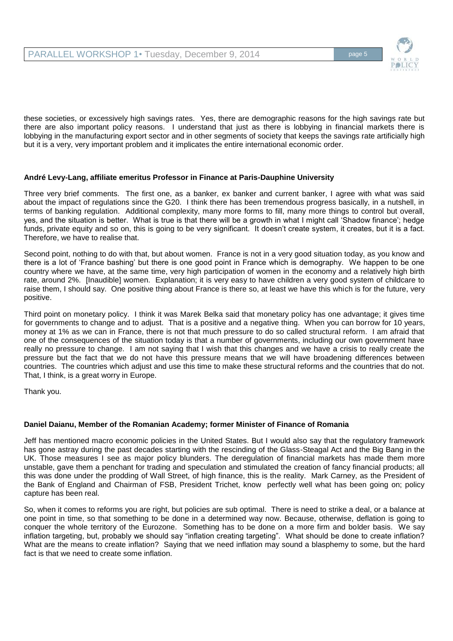

these societies, or excessively high savings rates. Yes, there are demographic reasons for the high savings rate but there are also important policy reasons. I understand that just as there is lobbying in financial markets there is lobbying in the manufacturing export sector and in other segments of society that keeps the savings rate artificially high but it is a very, very important problem and it implicates the entire international economic order.

# **André Levy-Lang, affiliate emeritus Professor in Finance at Paris-Dauphine University**

Three very brief comments. The first one, as a banker, ex banker and current banker, I agree with what was said about the impact of regulations since the G20. I think there has been tremendous progress basically, in a nutshell, in terms of banking regulation. Additional complexity, many more forms to fill, many more things to control but overall, yes, and the situation is better. What is true is that there will be a growth in what I might call 'Shadow finance'; hedge funds, private equity and so on, this is going to be very significant. It doesn't create system, it creates, but it is a fact. Therefore, we have to realise that.

Second point, nothing to do with that, but about women. France is not in a very good situation today, as you know and there is a lot of 'France bashing' but there is one good point in France which is demography. We happen to be one country where we have, at the same time, very high participation of women in the economy and a relatively high birth rate, around 2%. [Inaudible] women. Explanation; it is very easy to have children a very good system of childcare to raise them, I should say. One positive thing about France is there so, at least we have this which is for the future, very positive.

Third point on monetary policy. I think it was Marek Belka said that monetary policy has one advantage; it gives time for governments to change and to adjust. That is a positive and a negative thing. When you can borrow for 10 years, money at 1% as we can in France, there is not that much pressure to do so called structural reform. I am afraid that one of the consequences of the situation today is that a number of governments, including our own government have really no pressure to change. I am not saying that I wish that this changes and we have a crisis to really create the pressure but the fact that we do not have this pressure means that we will have broadening differences between countries. The countries which adjust and use this time to make these structural reforms and the countries that do not. That, I think, is a great worry in Europe.

Thank you.

# **Daniel Daianu, Member of the Romanian Academy; former Minister of Finance of Romania**

Jeff has mentioned macro economic policies in the United States. But I would also say that the regulatory framework has gone astray during the past decades starting with the rescinding of the Glass-Steagal Act and the Big Bang in the UK. Those measures I see as major policy blunders. The deregulation of financial markets has made them more unstable, gave them a penchant for trading and speculation and stimulated the creation of fancy financial products; all this was done under the prodding of Wall Street, of high finance, this is the reality. Mark Carney, as the President of the Bank of England and Chairman of FSB, President Trichet, know perfectly well what has been going on; policy capture has been real.

So, when it comes to reforms you are right, but policies are sub optimal. There is need to strike a deal, or a balance at one point in time, so that something to be done in a determined way now. Because, otherwise, deflation is going to conquer the whole territory of the Eurozone. Something has to be done on a more firm and bolder basis. We say inflation targeting, but, probably we should say "inflation creating targeting". What should be done to create inflation? What are the means to create inflation? Saying that we need inflation may sound a blasphemy to some, but the hard fact is that we need to create some inflation.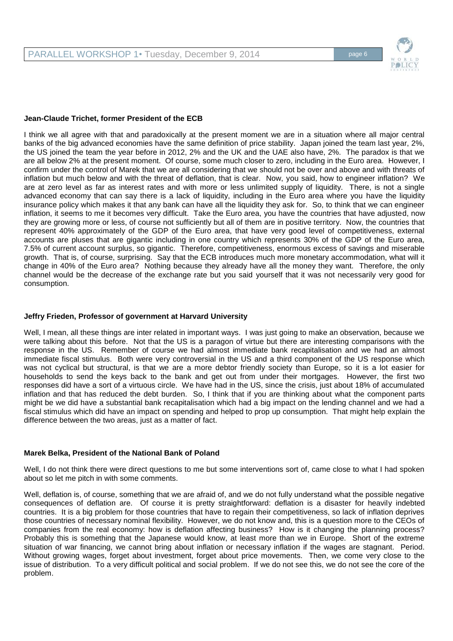

## **Jean-Claude Trichet, former President of the ECB**

I think we all agree with that and paradoxically at the present moment we are in a situation where all major central banks of the big advanced economies have the same definition of price stability. Japan joined the team last year, 2%, the US joined the team the year before in 2012, 2% and the UK and the UAE also have, 2%. The paradox is that we are all below 2% at the present moment. Of course, some much closer to zero, including in the Euro area. However, I confirm under the control of Marek that we are all considering that we should not be over and above and with threats of inflation but much below and with the threat of deflation, that is clear. Now, you said, how to engineer inflation? We are at zero level as far as interest rates and with more or less unlimited supply of liquidity. There, is not a single advanced economy that can say there is a lack of liquidity, including in the Euro area where you have the liquidity insurance policy which makes it that any bank can have all the liquidity they ask for. So, to think that we can engineer inflation, it seems to me it becomes very difficult. Take the Euro area, you have the countries that have adjusted, now they are growing more or less, of course not sufficiently but all of them are in positive territory. Now, the countries that represent 40% approximately of the GDP of the Euro area, that have very good level of competitiveness, external accounts are pluses that are gigantic including in one country which represents 30% of the GDP of the Euro area, 7.5% of current account surplus, so gigantic. Therefore, competitiveness, enormous excess of savings and miserable growth. That is, of course, surprising. Say that the ECB introduces much more monetary accommodation, what will it change in 40% of the Euro area? Nothing because they already have all the money they want. Therefore, the only channel would be the decrease of the exchange rate but you said yourself that it was not necessarily very good for consumption.

## **Jeffry Frieden, Professor of government at Harvard University**

Well, I mean, all these things are inter related in important ways. I was just going to make an observation, because we were talking about this before. Not that the US is a paragon of virtue but there are interesting comparisons with the response in the US. Remember of course we had almost immediate bank recapitalisation and we had an almost immediate fiscal stimulus. Both were very controversial in the US and a third component of the US response which was not cyclical but structural, is that we are a more debtor friendly society than Europe, so it is a lot easier for households to send the keys back to the bank and get out from under their mortgages. However, the first two responses did have a sort of a virtuous circle. We have had in the US, since the crisis, just about 18% of accumulated inflation and that has reduced the debt burden. So, I think that if you are thinking about what the component parts might be we did have a substantial bank recapitalisation which had a big impact on the lending channel and we had a fiscal stimulus which did have an impact on spending and helped to prop up consumption. That might help explain the difference between the two areas, just as a matter of fact.

## **Marek Belka, President of the National Bank of Poland**

Well, I do not think there were direct questions to me but some interventions sort of, came close to what I had spoken about so let me pitch in with some comments.

Well, deflation is, of course, something that we are afraid of, and we do not fully understand what the possible negative consequences of deflation are. Of course it is pretty straightforward: deflation is a disaster for heavily indebted countries. It is a big problem for those countries that have to regain their competitiveness, so lack of inflation deprives those countries of necessary nominal flexibility. However, we do not know and, this is a question more to the CEOs of companies from the real economy: how is deflation affecting business? How is it changing the planning process? Probably this is something that the Japanese would know, at least more than we in Europe. Short of the extreme situation of war financing, we cannot bring about inflation or necessary inflation if the wages are stagnant. Period. Without growing wages, forget about investment, forget about price movements. Then, we come very close to the issue of distribution. To a very difficult political and social problem. If we do not see this, we do not see the core of the problem.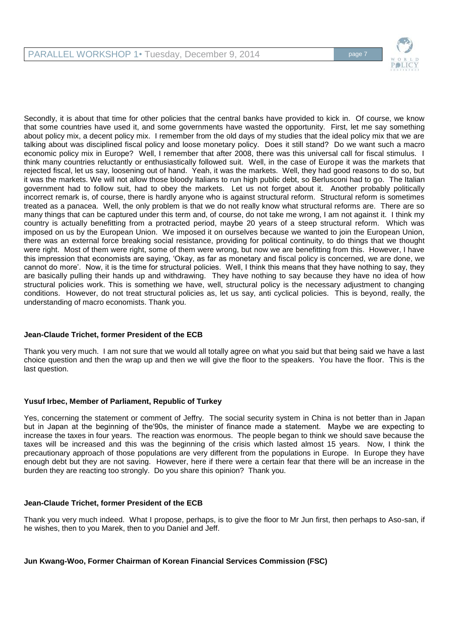

Secondly, it is about that time for other policies that the central banks have provided to kick in. Of course, we know that some countries have used it, and some governments have wasted the opportunity. First, let me say something about policy mix, a decent policy mix. I remember from the old days of my studies that the ideal policy mix that we are talking about was disciplined fiscal policy and loose monetary policy. Does it still stand? Do we want such a macro economic policy mix in Europe? Well, I remember that after 2008, there was this universal call for fiscal stimulus. I think many countries reluctantly or enthusiastically followed suit. Well, in the case of Europe it was the markets that rejected fiscal, let us say, loosening out of hand. Yeah, it was the markets. Well, they had good reasons to do so, but it was the markets. We will not allow those bloody Italians to run high public debt, so Berlusconi had to go. The Italian government had to follow suit, had to obey the markets. Let us not forget about it. Another probably politically incorrect remark is, of course, there is hardly anyone who is against structural reform. Structural reform is sometimes treated as a panacea. Well, the only problem is that we do not really know what structural reforms are. There are so many things that can be captured under this term and, of course, do not take me wrong, I am not against it. I think my country is actually benefitting from a protracted period, maybe 20 years of a steep structural reform. Which was imposed on us by the European Union. We imposed it on ourselves because we wanted to join the European Union, there was an external force breaking social resistance, providing for political continuity, to do things that we thought were right. Most of them were right, some of them were wrong, but now we are benefitting from this. However, I have this impression that economists are saying, 'Okay, as far as monetary and fiscal policy is concerned, we are done, we cannot do more'. Now, it is the time for structural policies. Well, I think this means that they have nothing to say, they are basically pulling their hands up and withdrawing. They have nothing to say because they have no idea of how structural policies work. This is something we have, well, structural policy is the necessary adjustment to changing conditions. However, do not treat structural policies as, let us say, anti cyclical policies. This is beyond, really, the understanding of macro economists. Thank you.

# **Jean-Claude Trichet, former President of the ECB**

Thank you very much. I am not sure that we would all totally agree on what you said but that being said we have a last choice question and then the wrap up and then we will give the floor to the speakers. You have the floor. This is the last question.

# **Yusuf Irbec, Member of Parliament, Republic of Turkey**

Yes, concerning the statement or comment of Jeffry. The social security system in China is not better than in Japan but in Japan at the beginning of the'90s, the minister of finance made a statement. Maybe we are expecting to increase the taxes in four years. The reaction was enormous. The people began to think we should save because the taxes will be increased and this was the beginning of the crisis which lasted almost 15 years. Now, I think the precautionary approach of those populations are very different from the populations in Europe. In Europe they have enough debt but they are not saving. However, here if there were a certain fear that there will be an increase in the burden they are reacting too strongly. Do you share this opinion? Thank you.

# **Jean-Claude Trichet, former President of the ECB**

Thank you very much indeed. What I propose, perhaps, is to give the floor to Mr Jun first, then perhaps to Aso-san, if he wishes, then to you Marek, then to you Daniel and Jeff.

# **Jun Kwang-Woo, Former Chairman of Korean Financial Services Commission (FSC)**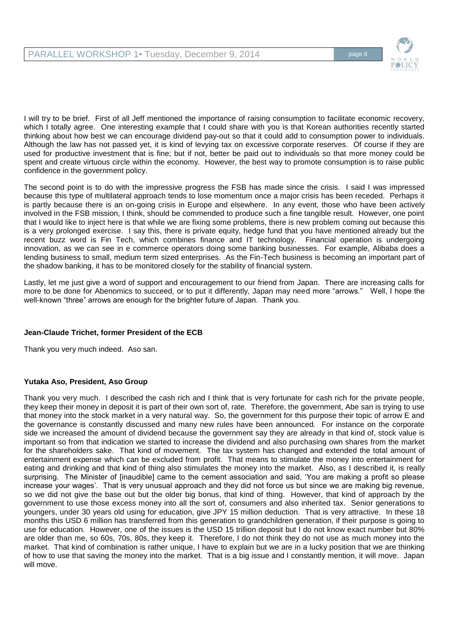

I will try to be brief. First of all Jeff mentioned the importance of raising consumption to facilitate economic recovery, which I totally agree. One interesting example that I could share with you is that Korean authorities recently started thinking about how best we can encourage dividend pay-out so that it could add to consumption power to individuals. Although the law has not passed yet, it is kind of levying tax on excessive corporate reserves. Of course if they are used for productive investment that is fine; but if not, better be paid out to individuals so that more money could be spent and create virtuous circle within the economy. However, the best way to promote consumption is to raise public confidence in the government policy.

The second point is to do with the impressive progress the FSB has made since the crisis. I said I was impressed because this type of multilateral approach tends to lose momentum once a major crisis has been receded. Perhaps it is partly because there is an on-going crisis in Europe and elsewhere. In any event, those who have been actively involved in the FSB mission, I think, should be commended to produce such a fine tangible result. However, one point that I would like to inject here is that while we are fixing some problems, there is new problem coming out because this is a very prolonged exercise. I say this, there is private equity, hedge fund that you have mentioned already but the recent buzz word is Fin Tech, which combines finance and IT technology. Financial operation is undergoing innovation, as we can see in e commerce operators doing some banking businesses. For example, Alibaba does a lending business to small, medium term sized enterprises. As the Fin-Tech business is becoming an important part of the shadow banking, it has to be monitored closely for the stability of financial system.

Lastly, let me just give a word of support and encouragement to our friend from Japan. There are increasing calls for more to be done for Abenomics to succeed, or to put it differently, Japan may need more "arrows." Well, I hope the well-known "three" arrows are enough for the brighter future of Japan. Thank you.

# **Jean-Claude Trichet, former President of the ECB**

Thank you very much indeed. Aso san.

# **Yutaka Aso, President, Aso Group**

Thank you very much. I described the cash rich and I think that is very fortunate for cash rich for the private people, they keep their money in deposit it is part of their own sort of, rate. Therefore, the government, Abe san is trying to use that money into the stock market in a very natural way. So, the government for this purpose their topic of arrow E and the governance is constantly discussed and many new rules have been announced. For instance on the corporate side we increased the amount of dividend because the government say they are already in that kind of, stock value is important so from that indication we started to increase the dividend and also purchasing own shares from the market for the shareholders sake. That kind of movement. The tax system has changed and extended the total amount of entertainment expense which can be excluded from profit. That means to stimulate the money into entertainment for eating and drinking and that kind of thing also stimulates the money into the market. Also, as I described it, is really surprising. The Minister of [inaudible] came to the cement association and said, 'You are making a profit so please increase your wages'. That is very unusual approach and they did not force us but since we are making big revenue, so we did not give the base out but the older big bonus, that kind of thing. However, that kind of approach by the government to use those excess money into all the sort of, consumers and also inherited tax. Senior generations to youngers, under 30 years old using for education, give JPY 15 million deduction. That is very attractive. In these 18 months this USD 6 million has transferred from this generation to grandchildren generation, if their purpose is going to use for education. However, one of the issues is the USD 15 trillion deposit but I do not know exact number but 80% are older than me, so 60s, 70s, 80s, they keep it. Therefore, I do not think they do not use as much money into the market. That kind of combination is rather unique, I have to explain but we are in a lucky position that we are thinking of how to use that saving the money into the market. That is a big issue and I constantly mention, it will move. Japan will move.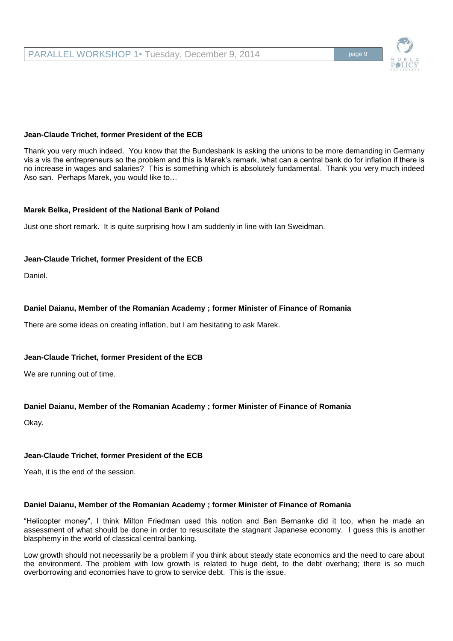# **Jean-Claude Trichet, former President of the ECB**

Thank you very much indeed. You know that the Bundesbank is asking the unions to be more demanding in Germany vis a vis the entrepreneurs so the problem and this is Marek's remark, what can a central bank do for inflation if there is no increase in wages and salaries? This is something which is absolutely fundamental. Thank you very much indeed Aso san. Perhaps Marek, you would like to…

## **Marek Belka, President of the National Bank of Poland**

Just one short remark. It is quite surprising how I am suddenly in line with Ian Sweidman.

## **Jean-Claude Trichet, former President of the ECB**

Daniel.

# **Daniel Daianu, Member of the Romanian Academy ; former Minister of Finance of Romania**

There are some ideas on creating inflation, but I am hesitating to ask Marek.

# **Jean-Claude Trichet, former President of the ECB**

We are running out of time.

# **Daniel Daianu, Member of the Romanian Academy ; former Minister of Finance of Romania**

Okay.

## **Jean-Claude Trichet, former President of the ECB**

Yeah, it is the end of the session.

## **Daniel Daianu, Member of the Romanian Academy ; former Minister of Finance of Romania**

"Helicopter money", I think Milton Friedman used this notion and Ben Bernanke did it too, when he made an assessment of what should be done in order to resuscitate the stagnant Japanese economy. I guess this is another blasphemy in the world of classical central banking.

Low growth should not necessarily be a problem if you think about steady state economics and the need to care about the environment. The problem with low growth is related to huge debt, to the debt overhang; there is so much overborrowing and economies have to grow to service debt. This is the issue.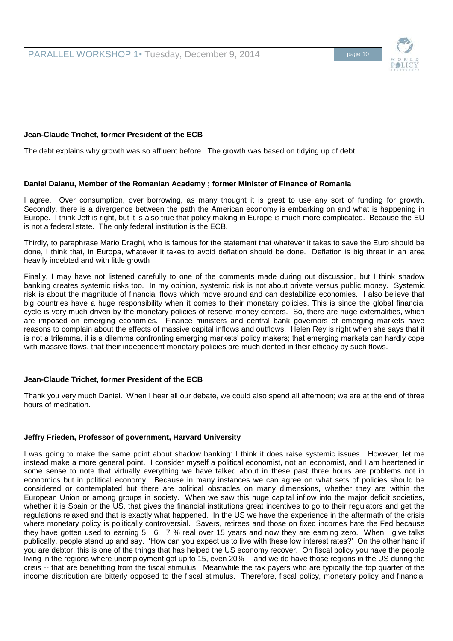# **Jean-Claude Trichet, former President of the ECB**

The debt explains why growth was so affluent before. The growth was based on tidying up of debt.

# **Daniel Daianu, Member of the Romanian Academy ; former Minister of Finance of Romania**

I agree. Over consumption, over borrowing, as many thought it is great to use any sort of funding for growth. Secondly, there is a divergence between the path the American economy is embarking on and what is happening in Europe. I think Jeff is right, but it is also true that policy making in Europe is much more complicated. Because the EU is not a federal state. The only federal institution is the ECB.

Thirdly, to paraphrase Mario Draghi, who is famous for the statement that whatever it takes to save the Euro should be done, I think that, in Europa, whatever it takes to avoid deflation should be done. Deflation is big threat in an area heavily indebted and with little growth .

Finally, I may have not listened carefully to one of the comments made during out discussion, but I think shadow banking creates systemic risks too. In my opinion, systemic risk is not about private versus public money. Systemic risk is about the magnitude of financial flows which move around and can destabilize economies. I also believe that big countries have a huge responsibility when it comes to their monetary policies. This is since the global financial cycle is very much driven by the monetary policies of reserve money centers. So, there are huge externalities, which are imposed on emerging economies. Finance ministers and central bank governors of emerging markets have reasons to complain about the effects of massive capital inflows and outflows. Helen Rey is right when she says that it is not a trilemma, it is a dilemma confronting emerging markets' policy makers; that emerging markets can hardly cope with massive flows, that their independent monetary policies are much dented in their efficacy by such flows.

# **Jean-Claude Trichet, former President of the ECB**

Thank you very much Daniel. When I hear all our debate, we could also spend all afternoon; we are at the end of three hours of meditation.

## **Jeffry Frieden, Professor of government, Harvard University**

I was going to make the same point about shadow banking: I think it does raise systemic issues. However, let me instead make a more general point. I consider myself a political economist, not an economist, and I am heartened in some sense to note that virtually everything we have talked about in these past three hours are problems not in economics but in political economy. Because in many instances we can agree on what sets of policies should be considered or contemplated but there are political obstacles on many dimensions, whether they are within the European Union or among groups in society. When we saw this huge capital inflow into the major deficit societies, whether it is Spain or the US, that gives the financial institutions great incentives to go to their regulators and get the regulations relaxed and that is exactly what happened. In the US we have the experience in the aftermath of the crisis where monetary policy is politically controversial. Savers, retirees and those on fixed incomes hate the Fed because they have gotten used to earning 5. 6. 7 % real over 15 years and now they are earning zero. When I give talks publically, people stand up and say. 'How can you expect us to live with these low interest rates?' On the other hand if you are debtor, this is one of the things that has helped the US economy recover. On fiscal policy you have the people living in the regions where unemployment got up to 15, even 20% -- and we do have those regions in the US during the crisis -- that are benefitting from the fiscal stimulus. Meanwhile the tax payers who are typically the top quarter of the income distribution are bitterly opposed to the fiscal stimulus. Therefore, fiscal policy, monetary policy and financial